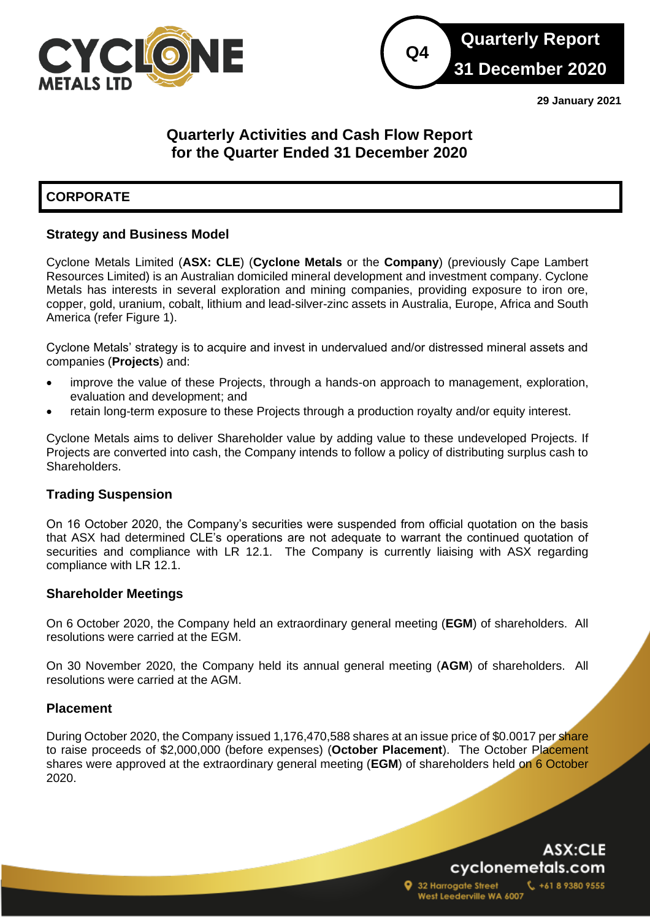



**29 January 2021**

# **Quarterly Activities and Cash Flow Report for the Quarter Ended 31 December 2020**

# **CORPORATE**

# **Strategy and Business Model**

Cyclone Metals Limited (**ASX: CLE**) (**Cyclone Metals** or the **Company**) (previously Cape Lambert Resources Limited) is an Australian domiciled mineral development and investment company. Cyclone Metals has interests in several exploration and mining companies, providing exposure to iron ore, copper, gold, uranium, cobalt, lithium and lead-silver-zinc assets in Australia, Europe, Africa and South America (refer Figure 1).

Cyclone Metals' strategy is to acquire and invest in undervalued and/or distressed mineral assets and companies (**Projects**) and:

- improve the value of these Projects, through a hands-on approach to management, exploration, evaluation and development; and
- retain long-term exposure to these Projects through a production royalty and/or equity interest.

Cyclone Metals aims to deliver Shareholder value by adding value to these undeveloped Projects. If Projects are converted into cash, the Company intends to follow a policy of distributing surplus cash to Shareholders.

### **Trading Suspension**

On 16 October 2020, the Company's securities were suspended from official quotation on the basis that ASX had determined CLE's operations are not adequate to warrant the continued quotation of securities and compliance with LR 12.1. The Company is currently liaising with ASX regarding compliance with LR 12.1.

### **Shareholder Meetings**

On 6 October 2020, the Company held an extraordinary general meeting (**EGM**) of shareholders. All resolutions were carried at the EGM.

On 30 November 2020, the Company held its annual general meeting (**AGM**) of shareholders. All resolutions were carried at the AGM.

### **Placement**

to raise proceeds of \$2,000,000 (before expenses) (October Placement). The October Placement During October 2020, the Company issued 1,176,470,588 shares at an issue price of \$0.0017 per share shares were approved at the extraordinary general meeting (**EGM**) of shareholders held on 6 October 2020.

# ASX:CLE cyclonemetals.com

+61 8 9380 9555

32 Harrogate Street West Leederville WA 6007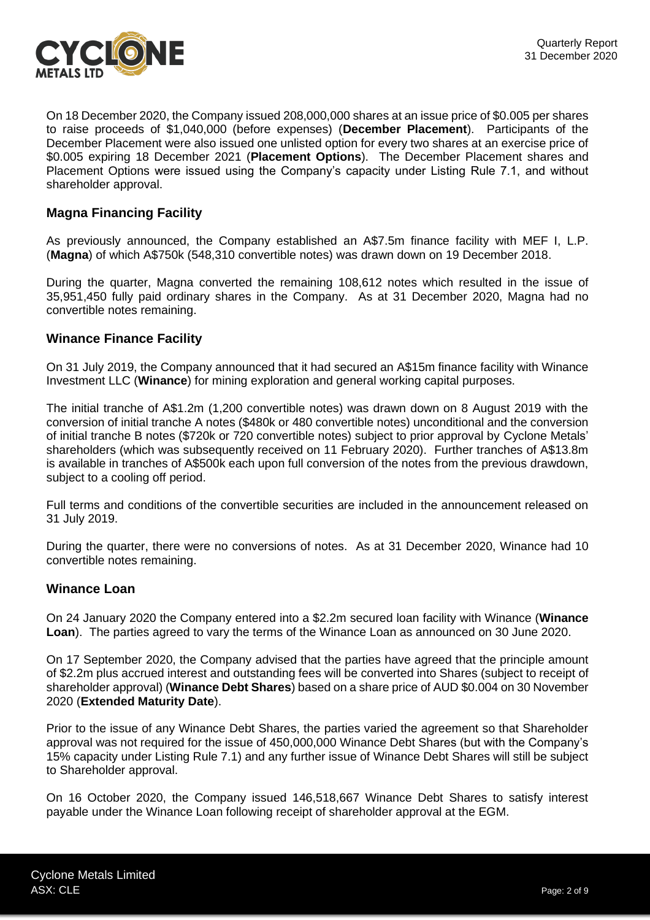

On 18 December 2020, the Company issued 208,000,000 shares at an issue price of \$0.005 per shares to raise proceeds of \$1,040,000 (before expenses) (**December Placement**). Participants of the December Placement were also issued one unlisted option for every two shares at an exercise price of \$0.005 expiring 18 December 2021 (**Placement Options**). The December Placement shares and Placement Options were issued using the Company's capacity under Listing Rule 7.1, and without shareholder approval.

## **Magna Financing Facility**

As previously announced, the Company established an A\$7.5m finance facility with MEF I, L.P. (**Magna**) of which A\$750k (548,310 convertible notes) was drawn down on 19 December 2018.

During the quarter, Magna converted the remaining 108,612 notes which resulted in the issue of 35,951,450 fully paid ordinary shares in the Company. As at 31 December 2020, Magna had no convertible notes remaining.

### **Winance Finance Facility**

On 31 July 2019, the Company announced that it had secured an A\$15m finance facility with Winance Investment LLC (**Winance**) for mining exploration and general working capital purposes.

The initial tranche of A\$1.2m (1,200 convertible notes) was drawn down on 8 August 2019 with the conversion of initial tranche A notes (\$480k or 480 convertible notes) unconditional and the conversion of initial tranche B notes (\$720k or 720 convertible notes) subject to prior approval by Cyclone Metals' shareholders (which was subsequently received on 11 February 2020). Further tranches of A\$13.8m is available in tranches of A\$500k each upon full conversion of the notes from the previous drawdown, subject to a cooling off period.

Full terms and conditions of the convertible securities are included in the announcement released on 31 July 2019.

During the quarter, there were no conversions of notes. As at 31 December 2020, Winance had 10 convertible notes remaining.

#### **Winance Loan**

On 24 January 2020 the Company entered into a \$2.2m secured loan facility with Winance (**Winance Loan**). The parties agreed to vary the terms of the Winance Loan as announced on 30 June 2020.

On 17 September 2020, the Company advised that the parties have agreed that the principle amount of \$2.2m plus accrued interest and outstanding fees will be converted into Shares (subject to receipt of shareholder approval) (**Winance Debt Shares**) based on a share price of AUD \$0.004 on 30 November 2020 (**Extended Maturity Date**).

Prior to the issue of any Winance Debt Shares, the parties varied the agreement so that Shareholder approval was not required for the issue of 450,000,000 Winance Debt Shares (but with the Company's 15% capacity under Listing Rule 7.1) and any further issue of Winance Debt Shares will still be subject to Shareholder approval.

On 16 October 2020, the Company issued 146,518,667 Winance Debt Shares to satisfy interest payable under the Winance Loan following receipt of shareholder approval at the EGM.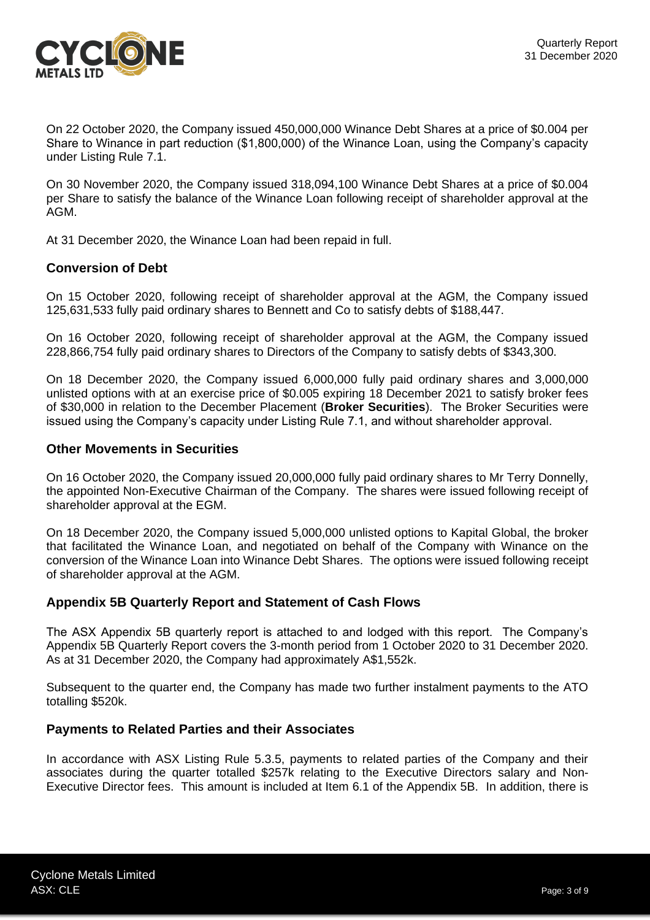

On 22 October 2020, the Company issued 450,000,000 Winance Debt Shares at a price of \$0.004 per Share to Winance in part reduction (\$1,800,000) of the Winance Loan, using the Company's capacity under Listing Rule 7.1.

On 30 November 2020, the Company issued 318,094,100 Winance Debt Shares at a price of \$0.004 per Share to satisfy the balance of the Winance Loan following receipt of shareholder approval at the AGM.

At 31 December 2020, the Winance Loan had been repaid in full.

## **Conversion of Debt**

On 15 October 2020, following receipt of shareholder approval at the AGM, the Company issued 125,631,533 fully paid ordinary shares to Bennett and Co to satisfy debts of \$188,447.

On 16 October 2020, following receipt of shareholder approval at the AGM, the Company issued 228,866,754 fully paid ordinary shares to Directors of the Company to satisfy debts of \$343,300.

On 18 December 2020, the Company issued 6,000,000 fully paid ordinary shares and 3,000,000 unlisted options with at an exercise price of \$0.005 expiring 18 December 2021 to satisfy broker fees of \$30,000 in relation to the December Placement (**Broker Securities**). The Broker Securities were issued using the Company's capacity under Listing Rule 7.1, and without shareholder approval.

### **Other Movements in Securities**

On 16 October 2020, the Company issued 20,000,000 fully paid ordinary shares to Mr Terry Donnelly, the appointed Non-Executive Chairman of the Company. The shares were issued following receipt of shareholder approval at the EGM.

On 18 December 2020, the Company issued 5,000,000 unlisted options to Kapital Global, the broker that facilitated the Winance Loan, and negotiated on behalf of the Company with Winance on the conversion of the Winance Loan into Winance Debt Shares. The options were issued following receipt of shareholder approval at the AGM.

# **Appendix 5B Quarterly Report and Statement of Cash Flows**

The ASX Appendix 5B quarterly report is attached to and lodged with this report. The Company's Appendix 5B Quarterly Report covers the 3-month period from 1 October 2020 to 31 December 2020. As at 31 December 2020, the Company had approximately A\$1,552k.

Subsequent to the quarter end, the Company has made two further instalment payments to the ATO totalling \$520k.

### **Payments to Related Parties and their Associates**

In accordance with ASX Listing Rule 5.3.5, payments to related parties of the Company and their associates during the quarter totalled \$257k relating to the Executive Directors salary and Non-Executive Director fees. This amount is included at Item 6.1 of the Appendix 5B. In addition, there is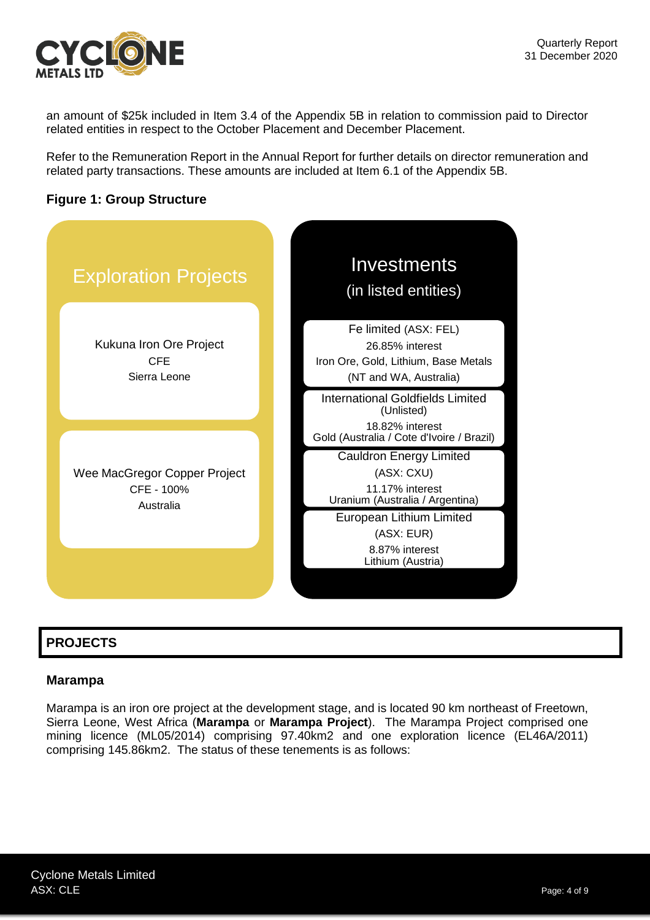

an amount of \$25k included in Item 3.4 of the Appendix 5B in relation to commission paid to Director related entities in respect to the October Placement and December Placement.

Refer to the Remuneration Report in the Annual Report for further details on director remuneration and related party transactions. These amounts are included at Item 6.1 of the Appendix 5B.





# **PROJECTS**

# **Marampa**

Marampa is an iron ore project at the development stage, and is located 90 km northeast of Freetown, Sierra Leone, West Africa (**Marampa** or **Marampa Project**). The Marampa Project comprised one mining licence (ML05/2014) comprising 97.40km2 and one exploration licence (EL46A/2011) comprising 145.86km2. The status of these tenements is as follows: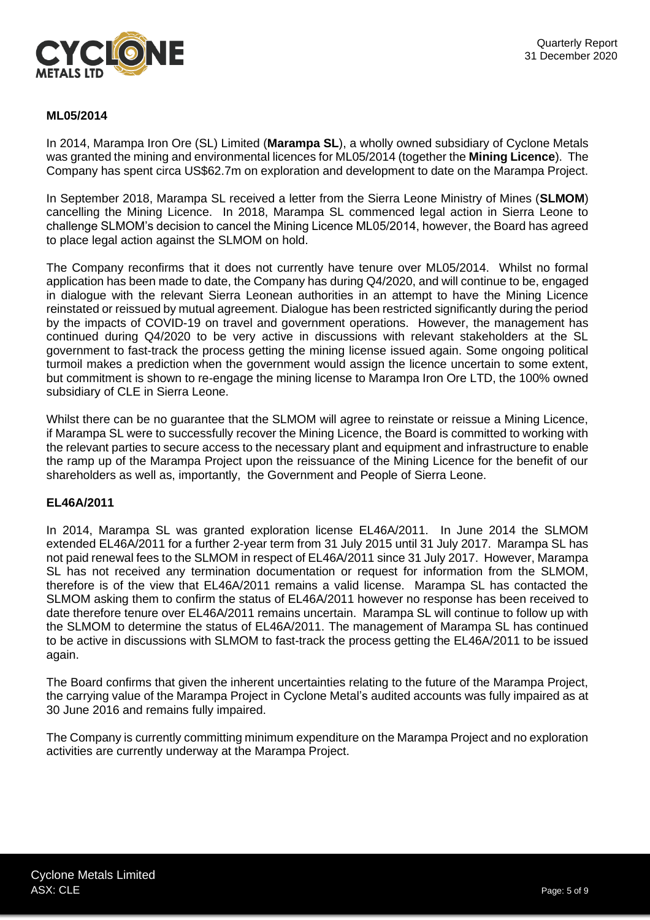

### **ML05/2014**

In 2014, Marampa Iron Ore (SL) Limited (**Marampa SL**), a wholly owned subsidiary of Cyclone Metals was granted the mining and environmental licences for ML05/2014 (together the **Mining Licence**). The Company has spent circa US\$62.7m on exploration and development to date on the Marampa Project.

In September 2018, Marampa SL received a letter from the Sierra Leone Ministry of Mines (**SLMOM**) cancelling the Mining Licence. In 2018, Marampa SL commenced legal action in Sierra Leone to challenge SLMOM's decision to cancel the Mining Licence ML05/2014, however, the Board has agreed to place legal action against the SLMOM on hold.

The Company reconfirms that it does not currently have tenure over ML05/2014. Whilst no formal application has been made to date, the Company has during Q4/2020, and will continue to be, engaged in dialogue with the relevant Sierra Leonean authorities in an attempt to have the Mining Licence reinstated or reissued by mutual agreement. Dialogue has been restricted significantly during the period by the impacts of COVID-19 on travel and government operations. However, the management has continued during Q4/2020 to be very active in discussions with relevant stakeholders at the SL government to fast-track the process getting the mining license issued again. Some ongoing political turmoil makes a prediction when the government would assign the licence uncertain to some extent, but commitment is shown to re-engage the mining license to Marampa Iron Ore LTD, the 100% owned subsidiary of CLE in Sierra Leone.

Whilst there can be no guarantee that the SLMOM will agree to reinstate or reissue a Mining Licence, if Marampa SL were to successfully recover the Mining Licence, the Board is committed to working with the relevant parties to secure access to the necessary plant and equipment and infrastructure to enable the ramp up of the Marampa Project upon the reissuance of the Mining Licence for the benefit of our shareholders as well as, importantly, the Government and People of Sierra Leone.

#### **EL46A/2011**

In 2014, Marampa SL was granted exploration license EL46A/2011. In June 2014 the SLMOM extended EL46A/2011 for a further 2-year term from 31 July 2015 until 31 July 2017. Marampa SL has not paid renewal fees to the SLMOM in respect of EL46A/2011 since 31 July 2017. However, Marampa SL has not received any termination documentation or request for information from the SLMOM, therefore is of the view that EL46A/2011 remains a valid license. Marampa SL has contacted the SLMOM asking them to confirm the status of EL46A/2011 however no response has been received to date therefore tenure over EL46A/2011 remains uncertain. Marampa SL will continue to follow up with the SLMOM to determine the status of EL46A/2011. The management of Marampa SL has continued to be active in discussions with SLMOM to fast-track the process getting the EL46A/2011 to be issued again.

The Board confirms that given the inherent uncertainties relating to the future of the Marampa Project, the carrying value of the Marampa Project in Cyclone Metal's audited accounts was fully impaired as at 30 June 2016 and remains fully impaired.

The Company is currently committing minimum expenditure on the Marampa Project and no exploration activities are currently underway at the Marampa Project.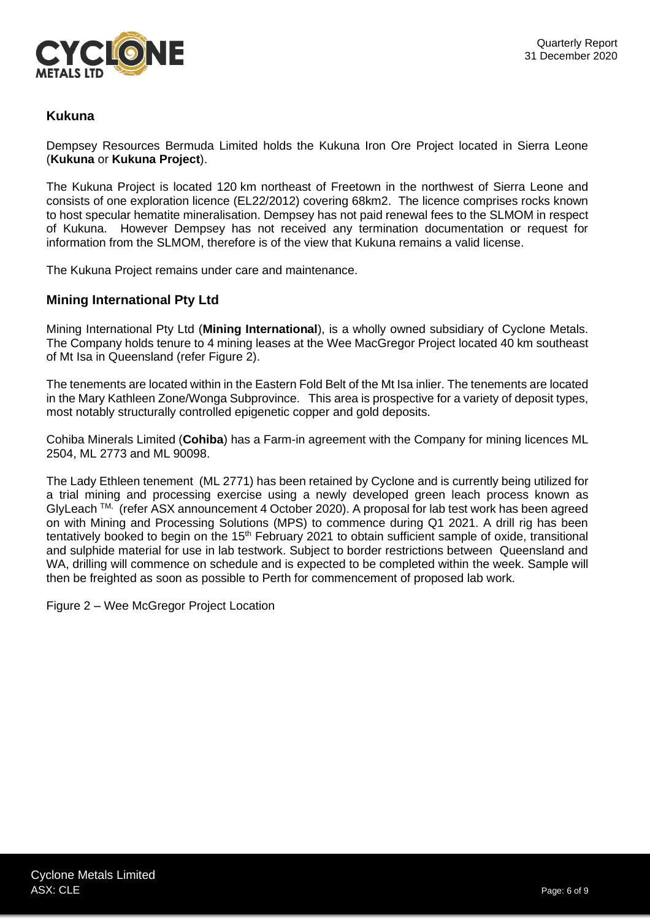

# **Kukuna**

Dempsey Resources Bermuda Limited holds the Kukuna Iron Ore Project located in Sierra Leone (**Kukuna** or **Kukuna Project**).

The Kukuna Project is located 120 km northeast of Freetown in the northwest of Sierra Leone and consists of one exploration licence (EL22/2012) covering 68km2. The licence comprises rocks known to host specular hematite mineralisation. Dempsey has not paid renewal fees to the SLMOM in respect of Kukuna. However Dempsey has not received any termination documentation or request for information from the SLMOM, therefore is of the view that Kukuna remains a valid license.

The Kukuna Project remains under care and maintenance.

## **Mining International Pty Ltd**

Mining International Pty Ltd (**Mining International**), is a wholly owned subsidiary of Cyclone Metals. The Company holds tenure to 4 mining leases at the Wee MacGregor Project located 40 km southeast of Mt Isa in Queensland (refer Figure 2).

The tenements are located within in the Eastern Fold Belt of the Mt Isa inlier. The tenements are located in the Mary Kathleen Zone/Wonga Subprovince. This area is prospective for a variety of deposit types, most notably structurally controlled epigenetic copper and gold deposits.

Cohiba Minerals Limited (**Cohiba**) has a Farm-in agreement with the Company for mining licences ML 2504, ML 2773 and ML 90098.

The Lady Ethleen tenement (ML 2771) has been retained by Cyclone and is currently being utilized for a trial mining and processing exercise using a newly developed green leach process known as GlyLeach ™, (refer ASX announcement 4 October 2020). A proposal for lab test work has been agreed on with Mining and Processing Solutions (MPS) to commence during Q1 2021. A drill rig has been tentatively booked to begin on the  $15<sup>th</sup>$  February 2021 to obtain sufficient sample of oxide, transitional and sulphide material for use in lab testwork. Subject to border restrictions between Queensland and WA, drilling will commence on schedule and is expected to be completed within the week. Sample will then be freighted as soon as possible to Perth for commencement of proposed lab work.

Figure 2 – Wee McGregor Project Location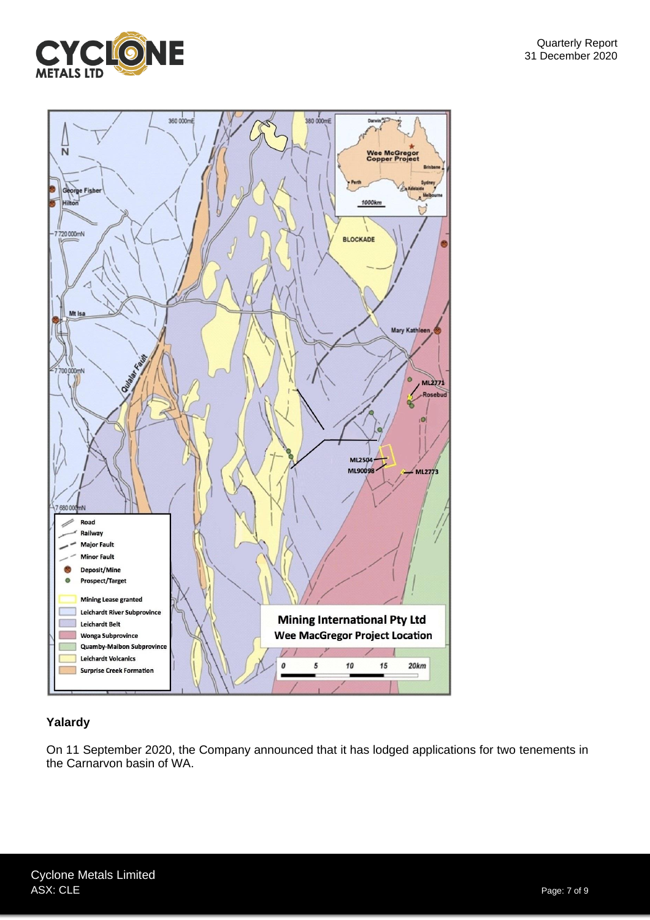





# **Yalardy**

On 11 September 2020, the Company announced that it has lodged applications for two tenements in the Carnarvon basin of WA.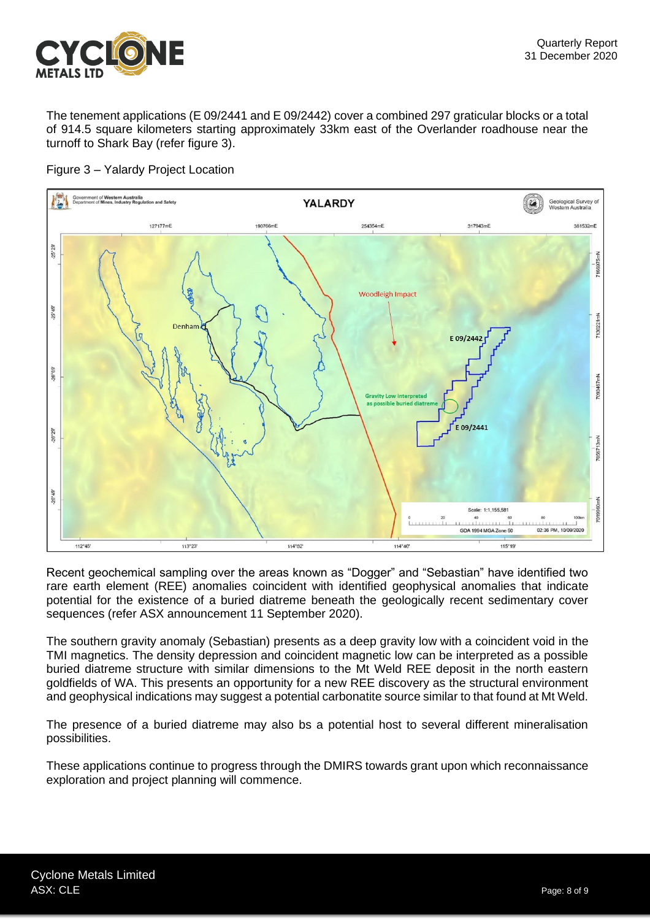

The tenement applications (E 09/2441 and E 09/2442) cover a combined 297 graticular blocks or a total of 914.5 square kilometers starting approximately 33km east of the Overlander roadhouse near the turnoff to Shark Bay (refer figure 3).



Figure 3 – Yalardy Project Location

Recent geochemical sampling over the areas known as "Dogger" and "Sebastian" have identified two rare earth element (REE) anomalies coincident with identified geophysical anomalies that indicate potential for the existence of a buried diatreme beneath the geologically recent sedimentary cover sequences (refer ASX announcement 11 September 2020).

The southern gravity anomaly (Sebastian) presents as a deep gravity low with a coincident void in the TMI magnetics. The density depression and coincident magnetic low can be interpreted as a possible buried diatreme structure with similar dimensions to the Mt Weld REE deposit in the north eastern goldfields of WA. This presents an opportunity for a new REE discovery as the structural environment and geophysical indications may suggest a potential carbonatite source similar to that found at Mt Weld.

The presence of a buried diatreme may also bs a potential host to several different mineralisation possibilities.

These applications continue to progress through the DMIRS towards grant upon which reconnaissance exploration and project planning will commence.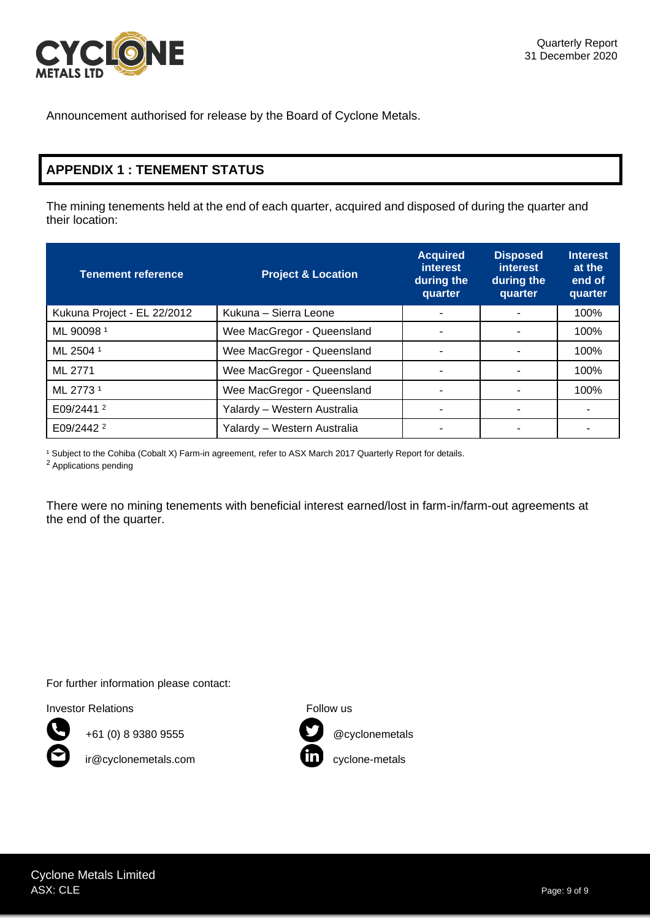

Announcement authorised for release by the Board of Cyclone Metals.

# **APPENDIX 1 : TENEMENT STATUS**

The mining tenements held at the end of each quarter, acquired and disposed of during the quarter and their location:

| <b>Tenement reference</b>   | <b>Project &amp; Location</b> | <b>Acquired</b><br><i>interest</i><br>during the<br>quarter | <b>Disposed</b><br><i>interest</i><br>during the<br>quarter | <b>Interest</b><br>at the<br>end of<br>quarter |
|-----------------------------|-------------------------------|-------------------------------------------------------------|-------------------------------------------------------------|------------------------------------------------|
| Kukuna Project - EL 22/2012 | Kukuna - Sierra Leone         |                                                             |                                                             | 100%                                           |
| ML 900981                   | Wee MacGregor - Queensland    |                                                             |                                                             | 100%                                           |
| ML 2504 1                   | Wee MacGregor - Queensland    |                                                             |                                                             | 100%                                           |
| ML 2771                     | Wee MacGregor - Queensland    |                                                             |                                                             | 100%                                           |
| ML 2773 <sup>1</sup>        | Wee MacGregor - Queensland    |                                                             |                                                             | 100%                                           |
| E09/2441 $2$                | Yalardy - Western Australia   |                                                             |                                                             |                                                |
| E09/2442 <sup>2</sup>       | Yalardy - Western Australia   |                                                             |                                                             |                                                |

<sup>1</sup> Subject to the Cohiba (Cobalt X) Farm-in agreement, refer to ASX March 2017 Quarterly Report for details.

<sup>2</sup> Applications pending

There were no mining tenements with beneficial interest earned/lost in farm-in/farm-out agreements at the end of the quarter.

For further information please contact:

Investor Relations **Follow** us



+61 (0) 8 9380 9555 @cyclonemetals

ir@cyclonemetals.com cyclone-metals

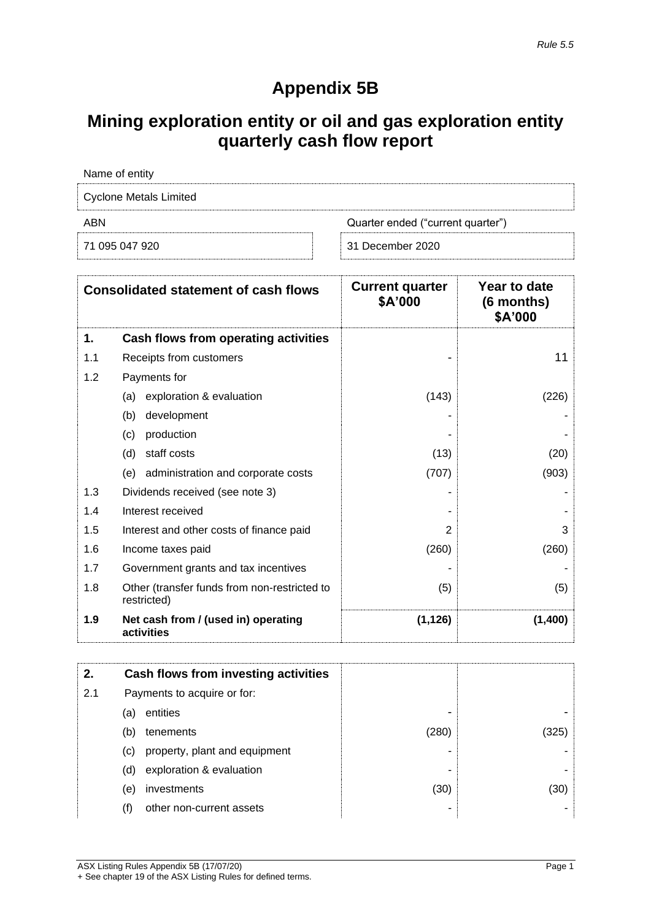# **Appendix 5B**

# **Mining exploration entity or oil and gas exploration entity quarterly cash flow report**

| Name of entity                           |                  |  |
|------------------------------------------|------------------|--|
| Cyclone Metals Limited                   |                  |  |
| ABN<br>Quarter ended ("current quarter") |                  |  |
| 71 095 047 920                           | 31 December 2020 |  |

|     | <b>Consolidated statement of cash flows</b>                 | <b>Current quarter</b><br>\$A'000 | Year to date<br>(6 months)<br>\$A'000 |
|-----|-------------------------------------------------------------|-----------------------------------|---------------------------------------|
| 1.  | Cash flows from operating activities                        |                                   |                                       |
| 1.1 | Receipts from customers                                     |                                   | 11                                    |
| 1.2 | Payments for                                                |                                   |                                       |
|     | exploration & evaluation<br>(a)                             | (143)                             | (226)                                 |
|     | development<br>(b)                                          |                                   |                                       |
|     | production<br>(c)                                           |                                   |                                       |
|     | staff costs<br>(d)                                          | (13)                              | (20)                                  |
|     | administration and corporate costs<br>(e)                   | (707)                             | (903)                                 |
| 1.3 | Dividends received (see note 3)                             |                                   |                                       |
| 1.4 | Interest received                                           |                                   |                                       |
| 1.5 | Interest and other costs of finance paid                    | 2                                 | 3                                     |
| 1.6 | Income taxes paid                                           | (260)                             | (260)                                 |
| 1.7 | Government grants and tax incentives                        |                                   |                                       |
| 1.8 | Other (transfer funds from non-restricted to<br>restricted) | (5)                               | (5)                                   |
| 1.9 | Net cash from / (used in) operating<br>activities           | (1, 126)                          | (1,400)                               |

| 2.  |     | Cash flows from investing activities |       |      |
|-----|-----|--------------------------------------|-------|------|
| 2.1 |     | Payments to acquire or for:          |       |      |
|     | (a) | entities                             | -     |      |
|     | (b) | tenements                            | (280) | 325' |
|     | (C) | property, plant and equipment        | -     |      |
|     | (d) | exploration & evaluation             | ۰     |      |
|     | (e) | investments                          | (30)  | (30) |
|     | (f) | other non-current assets             | ٠     |      |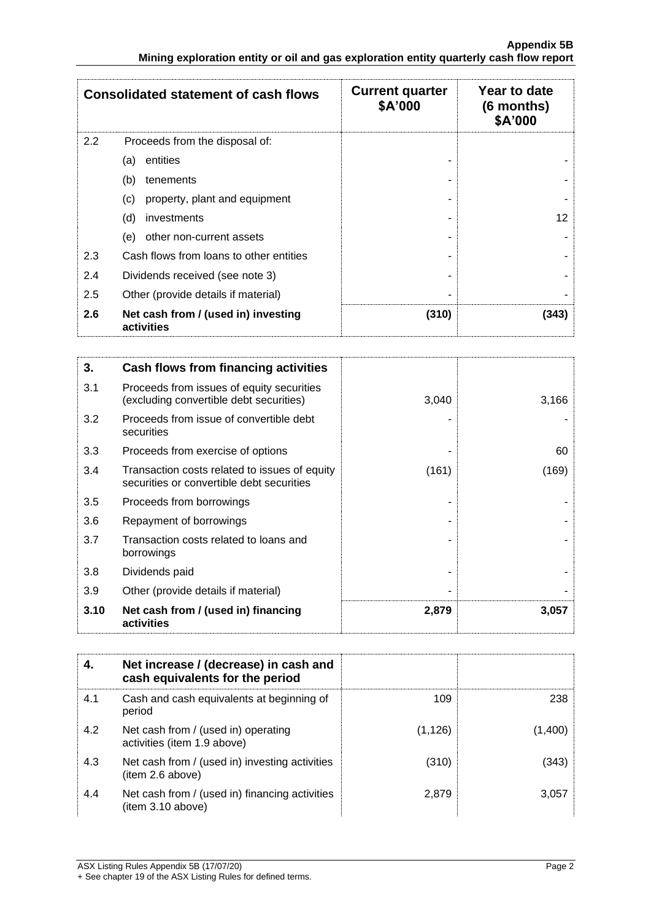|     | <b>Consolidated statement of cash flows</b>       | <b>Current quarter</b><br>\$A'000 | Year to date<br>$(6$ months)<br>\$A'000 |
|-----|---------------------------------------------------|-----------------------------------|-----------------------------------------|
| 2.2 | Proceeds from the disposal of:                    |                                   |                                         |
|     | entities<br>(a)                                   |                                   |                                         |
|     | (b)<br>tenements                                  |                                   |                                         |
|     | (c)<br>property, plant and equipment              |                                   |                                         |
|     | (d)<br>investments                                |                                   | 12                                      |
|     | (e)<br>other non-current assets                   |                                   |                                         |
| 2.3 | Cash flows from loans to other entities           |                                   |                                         |
| 2.4 | Dividends received (see note 3)                   |                                   |                                         |
| 2.5 | Other (provide details if material)               |                                   |                                         |
| 2.6 | Net cash from / (used in) investing<br>activities | (310)                             | (343)                                   |

| 3.   | Cash flows from financing activities                                                       |       |       |
|------|--------------------------------------------------------------------------------------------|-------|-------|
| 3.1  | Proceeds from issues of equity securities<br>(excluding convertible debt securities)       | 3,040 | 3,166 |
| 3.2  | Proceeds from issue of convertible debt<br>securities                                      |       |       |
| 3.3  | Proceeds from exercise of options                                                          |       | 60    |
| 3.4  | Transaction costs related to issues of equity<br>securities or convertible debt securities | (161) | (169) |
| 3.5  | Proceeds from borrowings                                                                   |       |       |
| 3.6  | Repayment of borrowings                                                                    |       |       |
| 3.7  | Transaction costs related to loans and<br>borrowings                                       |       |       |
| 3.8  | Dividends paid                                                                             |       |       |
| 3.9  | Other (provide details if material)                                                        |       |       |
| 3.10 | Net cash from / (used in) financing<br>activities                                          | 2,879 | 3,057 |

|     | Net increase / (decrease) in cash and<br>cash equivalents for the period |          |         |
|-----|--------------------------------------------------------------------------|----------|---------|
| 4.1 | Cash and cash equivalents at beginning of<br>period                      | 109      | 238     |
| 4.2 | Net cash from / (used in) operating<br>activities (item 1.9 above)       | (1, 126) | (1,400) |
| 4.3 | Net cash from / (used in) investing activities<br>(item 2.6 above)       | (310)    | (343)   |
| 4.4 | Net cash from / (used in) financing activities<br>item 3.10 above)       | 2,879    | 3.057   |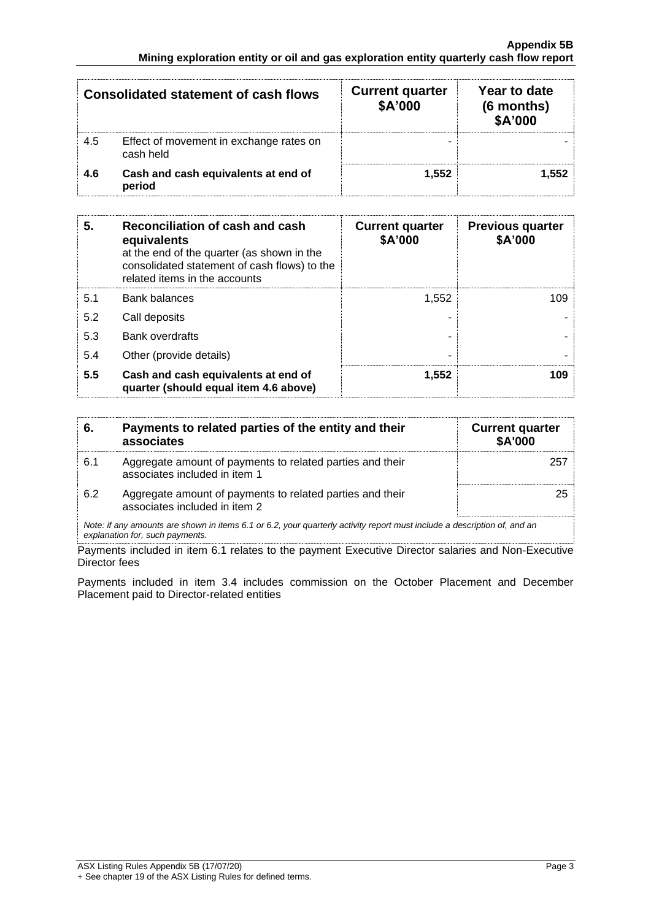|     | <b>Consolidated statement of cash flows</b>          | <b>Current quarter</b><br>\$A'000 | Year to date<br>(6 months)<br>\$A'000 |
|-----|------------------------------------------------------|-----------------------------------|---------------------------------------|
| 4.5 | Effect of movement in exchange rates on<br>cash held |                                   |                                       |
| 4.6 | Cash and cash equivalents at end of<br>period        | 1,552                             | 1.552                                 |

| 5.  | Reconciliation of cash and cash<br>equivalents<br>at the end of the quarter (as shown in the<br>consolidated statement of cash flows) to the<br>related items in the accounts | <b>Current quarter</b><br>\$A'000 | <b>Previous quarter</b><br>\$A'000 |
|-----|-------------------------------------------------------------------------------------------------------------------------------------------------------------------------------|-----------------------------------|------------------------------------|
| 5.1 | <b>Bank balances</b>                                                                                                                                                          | 1.552                             | 109                                |
| 5.2 | Call deposits                                                                                                                                                                 |                                   |                                    |
| 5.3 | <b>Bank overdrafts</b>                                                                                                                                                        |                                   |                                    |
| 5.4 | Other (provide details)                                                                                                                                                       | -                                 |                                    |
| 5.5 | Cash and cash equivalents at end of<br>quarter (should equal item 4.6 above)                                                                                                  | 1.552                             | 109                                |

| 6.  | Payments to related parties of the entity and their<br>associates                                                                                           | <b>Current quarter</b><br><b>\$A'000</b> |
|-----|-------------------------------------------------------------------------------------------------------------------------------------------------------------|------------------------------------------|
| 6.1 | Aggregate amount of payments to related parties and their<br>associates included in item 1                                                                  | 257                                      |
| 6.2 | Aggregate amount of payments to related parties and their<br>associates included in item 2                                                                  | 25                                       |
|     | Note: if any amounts are shown in items 6.1 or 6.2, your quarterly activity report must include a description of, and an<br>explanation for, such payments. |                                          |

Payments included in item 6.1 relates to the payment Executive Director salaries and Non-Executive Director fees

Payments included in item 3.4 includes commission on the October Placement and December Placement paid to Director-related entities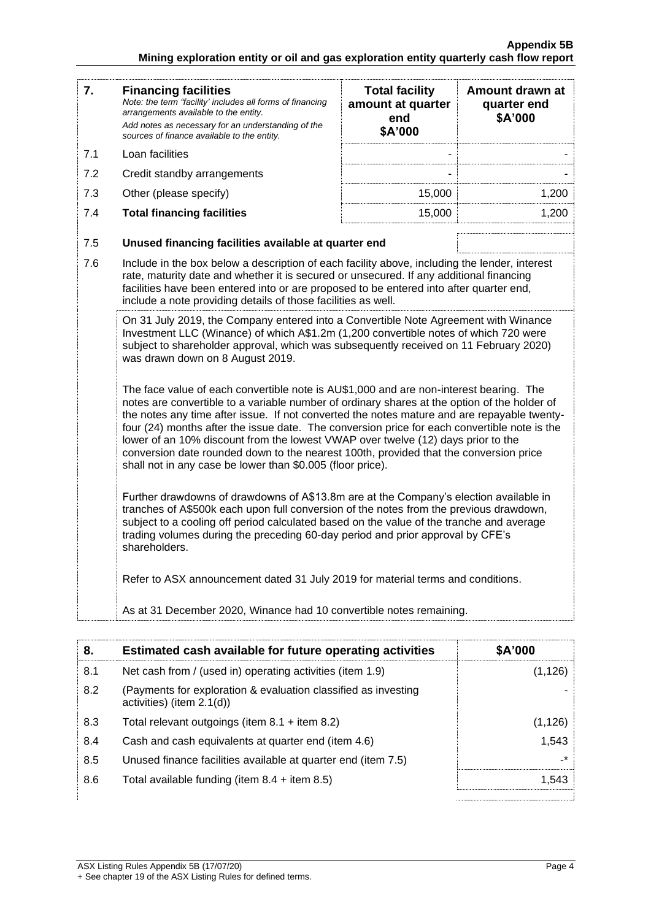| 7.                                                                                                                                                                                                                                                                                                       | <b>Financing facilities</b><br>Note: the term "facility' includes all forms of financing<br>arrangements available to the entity.<br>Add notes as necessary for an understanding of the<br>sources of finance available to the entity.                                                                                                                                                                                                                                                                                                                                                                                           | <b>Total facility</b><br>amount at quarter<br>end<br>\$A'000 | Amount drawn at<br>quarter end<br>\$A'000 |
|----------------------------------------------------------------------------------------------------------------------------------------------------------------------------------------------------------------------------------------------------------------------------------------------------------|----------------------------------------------------------------------------------------------------------------------------------------------------------------------------------------------------------------------------------------------------------------------------------------------------------------------------------------------------------------------------------------------------------------------------------------------------------------------------------------------------------------------------------------------------------------------------------------------------------------------------------|--------------------------------------------------------------|-------------------------------------------|
| 7.1                                                                                                                                                                                                                                                                                                      | Loan facilities                                                                                                                                                                                                                                                                                                                                                                                                                                                                                                                                                                                                                  |                                                              |                                           |
| 7.2                                                                                                                                                                                                                                                                                                      | Credit standby arrangements                                                                                                                                                                                                                                                                                                                                                                                                                                                                                                                                                                                                      |                                                              |                                           |
| 7.3                                                                                                                                                                                                                                                                                                      | Other (please specify)                                                                                                                                                                                                                                                                                                                                                                                                                                                                                                                                                                                                           | 15,000                                                       | 1,200                                     |
| 7.4                                                                                                                                                                                                                                                                                                      | <b>Total financing facilities</b>                                                                                                                                                                                                                                                                                                                                                                                                                                                                                                                                                                                                | 15,000                                                       | 1,200                                     |
| 7.5                                                                                                                                                                                                                                                                                                      | Unused financing facilities available at quarter end                                                                                                                                                                                                                                                                                                                                                                                                                                                                                                                                                                             |                                                              |                                           |
| 7.6                                                                                                                                                                                                                                                                                                      | Include in the box below a description of each facility above, including the lender, interest<br>rate, maturity date and whether it is secured or unsecured. If any additional financing<br>facilities have been entered into or are proposed to be entered into after quarter end,<br>include a note providing details of those facilities as well.                                                                                                                                                                                                                                                                             |                                                              |                                           |
| On 31 July 2019, the Company entered into a Convertible Note Agreement with Winance<br>Investment LLC (Winance) of which A\$1.2m (1,200 convertible notes of which 720 were<br>subject to shareholder approval, which was subsequently received on 11 February 2020)<br>was drawn down on 8 August 2019. |                                                                                                                                                                                                                                                                                                                                                                                                                                                                                                                                                                                                                                  |                                                              |                                           |
|                                                                                                                                                                                                                                                                                                          | The face value of each convertible note is AU\$1,000 and are non-interest bearing. The<br>notes are convertible to a variable number of ordinary shares at the option of the holder of<br>the notes any time after issue. If not converted the notes mature and are repayable twenty-<br>four (24) months after the issue date. The conversion price for each convertible note is the<br>lower of an 10% discount from the lowest VWAP over twelve (12) days prior to the<br>conversion date rounded down to the nearest 100th, provided that the conversion price<br>shall not in any case be lower than \$0.005 (floor price). |                                                              |                                           |
|                                                                                                                                                                                                                                                                                                          | Further drawdowns of drawdowns of A\$13.8m are at the Company's election available in<br>tranches of A\$500k each upon full conversion of the notes from the previous drawdown,<br>subject to a cooling off period calculated based on the value of the tranche and average<br>trading volumes during the preceding 60-day period and prior approval by CFE's<br>shareholders.                                                                                                                                                                                                                                                   |                                                              |                                           |
|                                                                                                                                                                                                                                                                                                          | Refer to ASX announcement dated 31 July 2019 for material terms and conditions.                                                                                                                                                                                                                                                                                                                                                                                                                                                                                                                                                  |                                                              |                                           |
|                                                                                                                                                                                                                                                                                                          | As at 31 December 2020, Winance had 10 convertible notes remaining.                                                                                                                                                                                                                                                                                                                                                                                                                                                                                                                                                              |                                                              |                                           |

| 8.  | Estimated cash available for future operating activities                                       | \$A'000              |
|-----|------------------------------------------------------------------------------------------------|----------------------|
| 8.1 | Net cash from / (used in) operating activities (item 1.9)                                      | (1,126)              |
| 8.2 | (Payments for exploration & evaluation classified as investing<br>activities) (item $2.1(d)$ ) |                      |
| 8.3 | Total relevant outgoings (item $8.1 +$ item $8.2$ )                                            | (1,126)              |
| 8.4 | Cash and cash equivalents at quarter end (item 4.6)                                            | 1,543                |
| 8.5 | Unused finance facilities available at quarter end (item 7.5)                                  | $\mathbf{r}^{\star}$ |
| 8.6 | Total available funding (item $8.4 +$ item $8.5$ )                                             | 1.543                |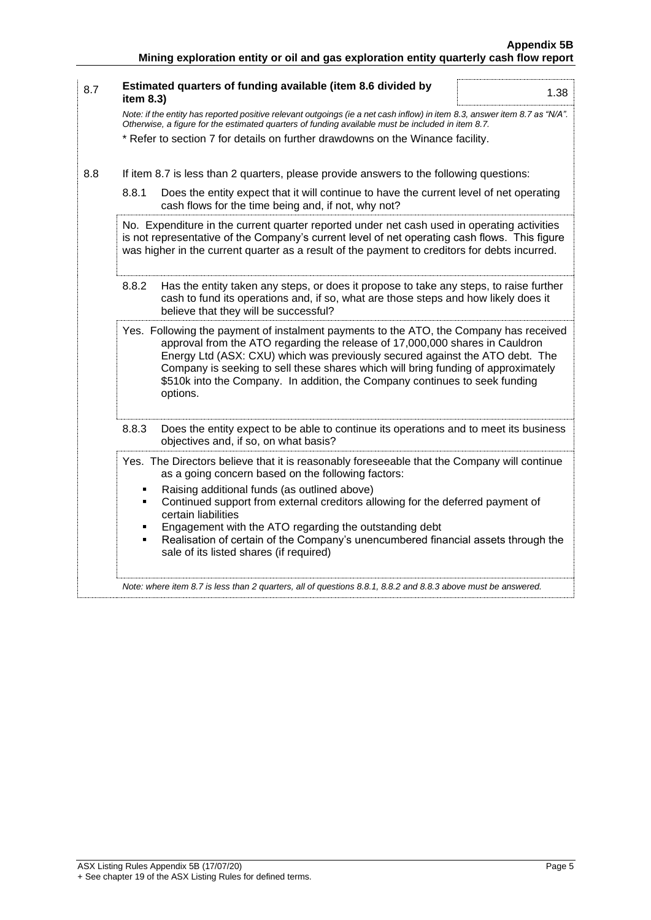| 8.7 | Estimated quarters of funding available (item 8.6 divided by<br>1.38<br>item 8.3)                                                                                                                                                                                                                                                                                                                                                      |
|-----|----------------------------------------------------------------------------------------------------------------------------------------------------------------------------------------------------------------------------------------------------------------------------------------------------------------------------------------------------------------------------------------------------------------------------------------|
|     | Note: if the entity has reported positive relevant outgoings (ie a net cash inflow) in item 8.3, answer item 8.7 as "N/A".<br>Otherwise, a figure for the estimated quarters of funding available must be included in item 8.7.                                                                                                                                                                                                        |
|     | * Refer to section 7 for details on further drawdowns on the Winance facility.                                                                                                                                                                                                                                                                                                                                                         |
| 8.8 | If item 8.7 is less than 2 quarters, please provide answers to the following questions:                                                                                                                                                                                                                                                                                                                                                |
|     | 8.8.1<br>Does the entity expect that it will continue to have the current level of net operating<br>cash flows for the time being and, if not, why not?                                                                                                                                                                                                                                                                                |
|     | No. Expenditure in the current quarter reported under net cash used in operating activities<br>is not representative of the Company's current level of net operating cash flows. This figure<br>was higher in the current quarter as a result of the payment to creditors for debts incurred.                                                                                                                                          |
|     | 8.8.2<br>Has the entity taken any steps, or does it propose to take any steps, to raise further<br>cash to fund its operations and, if so, what are those steps and how likely does it<br>believe that they will be successful?                                                                                                                                                                                                        |
|     | Yes. Following the payment of instalment payments to the ATO, the Company has received<br>approval from the ATO regarding the release of 17,000,000 shares in Cauldron<br>Energy Ltd (ASX: CXU) which was previously secured against the ATO debt. The<br>Company is seeking to sell these shares which will bring funding of approximately<br>\$510k into the Company. In addition, the Company continues to seek funding<br>options. |
|     | 8.8.3<br>Does the entity expect to be able to continue its operations and to meet its business<br>objectives and, if so, on what basis?                                                                                                                                                                                                                                                                                                |
|     | Yes. The Directors believe that it is reasonably foreseeable that the Company will continue<br>as a going concern based on the following factors:                                                                                                                                                                                                                                                                                      |
|     | Raising additional funds (as outlined above)<br>٠<br>Continued support from external creditors allowing for the deferred payment of<br>٠<br>certain liabilities<br>Engagement with the ATO regarding the outstanding debt<br>٠<br>Realisation of certain of the Company's unencumbered financial assets through the<br>٠<br>sale of its listed shares (if required)                                                                    |
|     | Note: where item 8.7 is less than 2 quarters, all of questions 8.8.1, 8.8.2 and 8.8.3 above must be answered.                                                                                                                                                                                                                                                                                                                          |